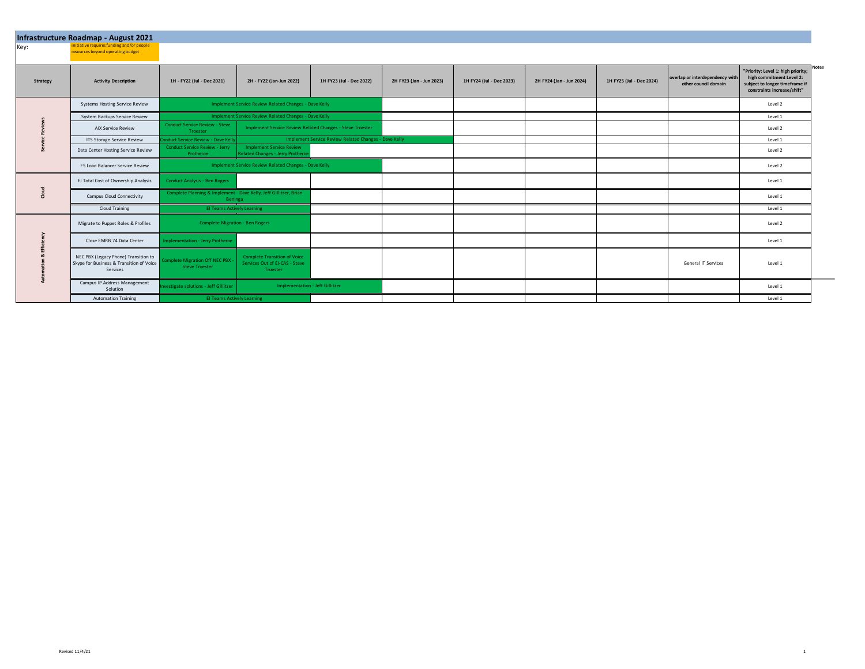|                 | Infrastructure Roadmap - August 2021                                                         |                                                                              |                                                                                   |                                                       |                          |                          |                          |                          |                                                         |                                                                                                                                          |
|-----------------|----------------------------------------------------------------------------------------------|------------------------------------------------------------------------------|-----------------------------------------------------------------------------------|-------------------------------------------------------|--------------------------|--------------------------|--------------------------|--------------------------|---------------------------------------------------------|------------------------------------------------------------------------------------------------------------------------------------------|
| Key:            | initiative requires funding and/or people<br>resources beyond operating budget               |                                                                              |                                                                                   |                                                       |                          |                          |                          |                          |                                                         |                                                                                                                                          |
|                 |                                                                                              |                                                                              |                                                                                   |                                                       |                          |                          |                          |                          |                                                         |                                                                                                                                          |
| <b>Strategy</b> | <b>Activity Description</b>                                                                  | 1H - FY22 (Jul - Dec 2021)                                                   | 2H - FY22 (Jan-Jun 2022)                                                          | 1H FY23 (Jul - Dec 2022)                              | 2H FY23 (Jan - Jun 2023) | 1H FY24 (Jul - Dec 2023) | 2H FY24 (Jan - Jun 2024) | 1H FY25 (Jul - Dec 2024) | overlap or interdependency with<br>other council domain | Notes<br>"Priority: Level 1: high priority;<br>high commitment Level 2:<br>subject to longer timeframe if<br>constraints increase/shift" |
|                 | <b>Systems Hosting Service Review</b>                                                        | Implement Service Review Related Changes - Dave Kelly                        |                                                                                   |                                                       |                          |                          |                          |                          |                                                         | Level 2                                                                                                                                  |
|                 | System Backups Service Review                                                                | Implement Service Review Related Changes - Dave Kelly                        |                                                                                   |                                                       |                          |                          |                          |                          |                                                         | Level 1                                                                                                                                  |
|                 | <b>AIX Service Review</b>                                                                    | <b>Conduct Service Review - Steve</b><br>Troester                            | Implement Service Review Related Changes - Steve Troester                         |                                                       |                          |                          |                          |                          |                                                         | Level 2                                                                                                                                  |
|                 | ITS Storage Service Review                                                                   | Conduct Service Review - Dave Kell                                           |                                                                                   | Implement Service Review Related Changes - Dave Kelly |                          |                          |                          |                          |                                                         | Level 1                                                                                                                                  |
|                 | Data Center Hosting Service Review                                                           | <b>Conduct Service Review - Jerry</b><br>Protheroe                           | <b>Implement Service Review</b><br><b>Related Changes - Jerry Protherd</b>        |                                                       |                          |                          |                          |                          |                                                         | Level 2                                                                                                                                  |
|                 | F5 Load Balancer Service Review                                                              |                                                                              | Implement Service Review Related Changes - Dave Kelly                             |                                                       |                          |                          |                          |                          |                                                         | Level 2                                                                                                                                  |
|                 | El Total Cost of Ownership Analysis                                                          | <b>Conduct Analysis - Ben Rogers</b>                                         |                                                                                   |                                                       |                          |                          |                          |                          |                                                         | Level 1                                                                                                                                  |
|                 | Campus Cloud Connectivity                                                                    | Complete Planning & Implement - Dave Kelly, Jeff Gillitzer, Brian<br>Beninga |                                                                                   |                                                       |                          |                          |                          |                          |                                                         | Level 1                                                                                                                                  |
|                 | Cloud Training                                                                               | <b>El Teams Actively Learning</b>                                            |                                                                                   |                                                       |                          |                          |                          |                          |                                                         | Level 1                                                                                                                                  |
|                 | Migrate to Puppet Roles & Profiles                                                           | <b>Complete Migration - Ben Rogers</b>                                       |                                                                                   |                                                       |                          |                          |                          |                          |                                                         | Level 2                                                                                                                                  |
|                 | Close EMRB 74 Data Center                                                                    | <b>Implementation - Jerry Protheroe</b>                                      |                                                                                   |                                                       |                          |                          |                          |                          |                                                         | Level 1                                                                                                                                  |
|                 | NEC PBX (Legacy Phone) Transition to<br>Skype for Business & Transition of Voice<br>Services | Complete Migration Off NEC PBX -<br>Steve Troester                           | <b>Complete Transition of Voice</b><br>Services Out of EI-CAS - Steve<br>Troester |                                                       |                          |                          |                          |                          | General IT Services                                     | Level 1                                                                                                                                  |
|                 | Campus IP Address Management<br>Solution                                                     | nvestigate solutions - Jeff Gillitzer                                        | Implementation - Jeff Gillitzer                                                   |                                                       |                          |                          |                          |                          |                                                         | Level 1                                                                                                                                  |
|                 | <b>Automation Training</b>                                                                   | <b>El Teams Actively Learning</b>                                            |                                                                                   |                                                       |                          |                          |                          |                          |                                                         | Level 1                                                                                                                                  |